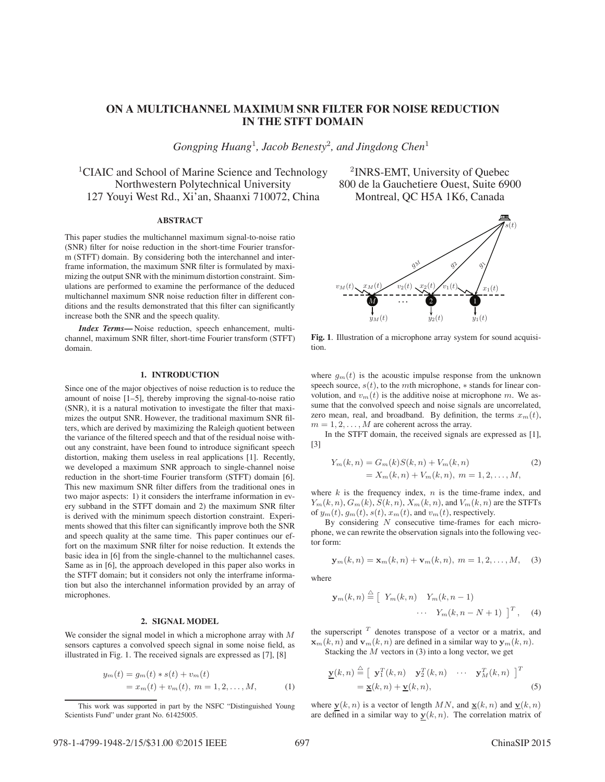# **ON A MULTICHANNEL MAXIMUM SNR FILTER FOR NOISE REDUCTION IN THE STFT DOMAIN**

*Gongping Huang*<sup>1</sup>*, Jacob Benesty*<sup>2</sup>*, and Jingdong Chen*<sup>1</sup>

<sup>1</sup>CIAIC and School of Marine Science and Technology  $\frac{2}{NRS-EMT}$ , University of Quebec Northwestern Polytechnical University 800 de la Gauchetiere Ouest, Suite 6900 127 Youyi West Rd., Xi'an, Shaanxi 710072, China Montreal, QC H5A 1K6, Canada

### **ABSTRACT**

This paper studies the multichannel maximum signal-to-noise ratio (SNR) filter for noise reduction in the short-time Fourier transform (STFT) domain. By considering both the interchannel and interframe information, the maximum SNR filter is formulated by maximizing the output SNR with the minimum distortion constraint. Simulations are performed to examine the performance of the deduced multichannel maximum SNR noise reduction filter in different conditions and the results demonstrated that this filter can significantly increase both the SNR and the speech quality.

*Index Terms***—** Noise reduction, speech enhancement, multichannel, maximum SNR filter, short-time Fourier transform (STFT) domain.

# **1. INTRODUCTION**

Since one of the major objectives of noise reduction is to reduce the amount of noise [1–5], thereby improving the signal-to-noise ratio (SNR), it is a natural motivation to investigate the filter that maximizes the output SNR. However, the traditional maximum SNR filters, which are derived by maximizing the Raleigh quotient between the variance of the filtered speech and that of the residual noise without any constraint, have been found to introduce significant speech distortion, making them useless in real applications [1]. Recently, we developed a maximum SNR approach to single-channel noise reduction in the short-time Fourier transform (STFT) domain [6]. This new maximum SNR filter differs from the traditional ones in two major aspects: 1) it considers the interframe information in every subband in the STFT domain and 2) the maximum SNR filter is derived with the minimum speech distortion constraint. Experiments showed that this filter can significantly improve both the SNR and speech quality at the same time. This paper continues our effort on the maximum SNR filter for noise reduction. It extends the basic idea in [6] from the single-channel to the multichannel cases. Same as in [6], the approach developed in this paper also works in the STFT domain; but it considers not only the interframe information but also the interchannel information provided by an array of microphones.

# **2. SIGNAL MODEL**

We consider the signal model in which a microphone array with  $M$ sensors captures a convolved speech signal in some noise field, as illustrated in Fig. 1. The received signals are expressed as [7], [8]

$$
y_m(t) = g_m(t) * s(t) + v_m(t)
$$
  
=  $x_m(t) + v_m(t), \ m = 1, 2, ..., M,$  (1)



**Fig. 1**. Illustration of a microphone array system for sound acquisition.

where  $g_m(t)$  is the acoustic impulse response from the unknown speech source,  $s(t)$ , to the mth microphone,  $*$  stands for linear convolution, and  $v_m(t)$  is the additive noise at microphone m. We assume that the convolved speech and noise signals are uncorrelated, zero mean, real, and broadband. By definition, the terms  $x_m(t)$ ,  $m = 1, 2, \ldots, M$  are coherent across the array.

In the STFT domain, the received signals are expressed as [1], [3]

$$
Y_m(k,n) = G_m(k)S(k,n) + V_m(k,n)
$$
  
=  $X_m(k,n) + V_m(k,n), m = 1,2,...,M,$  (2)

where  $k$  is the frequency index,  $n$  is the time-frame index, and  $Y_m(k, n)$ ,  $G_m(k)$ ,  $S(k, n)$ ,  $X_m(k, n)$ , and  $V_m(k, n)$  are the STFTs of  $y_m(t)$ ,  $g_m(t)$ ,  $s(t)$ ,  $x_m(t)$ , and  $v_m(t)$ , respectively.

By considering  $N$  consecutive time-frames for each microphone, we can rewrite the observation signals into the following vector form:

$$
\mathbf{y}_m(k,n) = \mathbf{x}_m(k,n) + \mathbf{v}_m(k,n), \ m = 1,2,\ldots,M,
$$
 (3)

where

$$
\mathbf{y}_m(k,n) \stackrel{\triangle}{=} \left[ Y_m(k,n) \quad Y_m(k,n-1) \right. \\ \cdots \quad Y_m(k,n-N+1) \quad \right]^T, \quad (4)
$$

the superscript  $T$  denotes transpose of a vector or a matrix, and  $\mathbf{x}_m(k, n)$  and  $\mathbf{v}_m(k, n)$  are defined in a similar way to  $\mathbf{y}_m(k, n)$ .

Stacking the  $M$  vectors in (3) into a long vector, we get

$$
\underline{\mathbf{y}}(k,n) \stackrel{\triangle}{=} \left[ \begin{array}{cc} \mathbf{y}_1^T(k,n) & \mathbf{y}_2^T(k,n) & \cdots & \mathbf{y}_M^T(k,n) \end{array} \right]^T \\
= \underline{\mathbf{x}}(k,n) + \underline{\mathbf{v}}(k,n),\n\tag{5}
$$

where  $y(k, n)$  is a vector of length MN, and  $\underline{x}(k, n)$  and  $\underline{v}(k, n)$ are defined in a similar way to  $y(k, n)$ . The correlation matrix of

This work was supported in part by the NSFC "Distinguished Young Scientists Fund" under grant No. 61425005.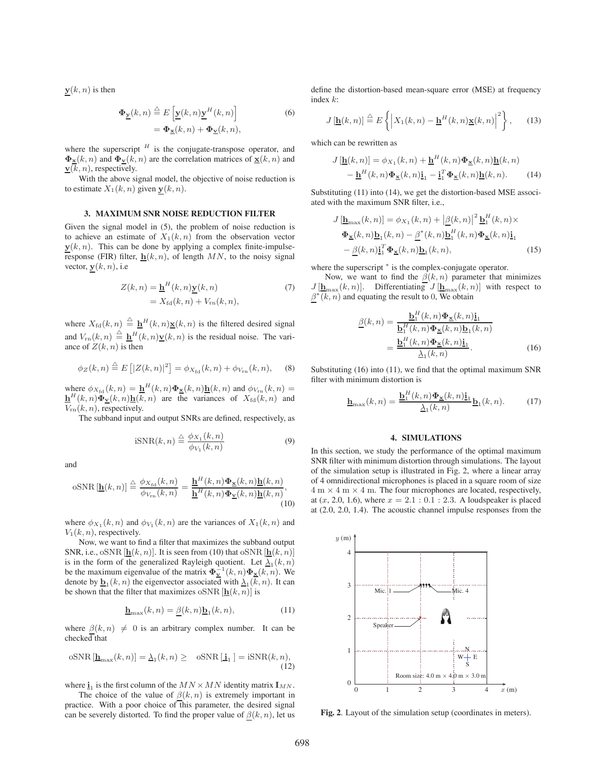$\mathbf{y}(k, n)$  is then

$$
\Phi_{\underline{\mathbf{y}}}(k,n) \stackrel{\triangle}{=} E\left[\underline{\mathbf{y}}(k,n)\underline{\mathbf{y}}^H(k,n)\right] \n= \Phi_{\underline{\mathbf{x}}}(k,n) + \Phi_{\underline{\mathbf{y}}}(k,n),
$$
\n(6)

where the superscript  $H$  is the conjugate-transpose operator, and  $\Phi$ **x**(k, n) and  $\Phi$ **v**(k, n) are the correlation matrices of **x**(k, n) and  $\underline{\mathbf{v}}(\overline{k}, n)$ , respectively.

With the above signal model, the objective of noise reduction is to estimate  $X_1(k, n)$  given  $\mathbf{y}(k, n)$ .

#### **3. MAXIMUM SNR NOISE REDUCTION FILTER**

Given the signal model in (5), the problem of noise reduction is to achieve an estimate of  $X_1(k, n)$  from the observation vector  $y(k, n)$ . This can be done by applying a complex finite-impulseresponse (FIR) filter,  $h(k, n)$ , of length MN, to the noisy signal vector,  $y(k, n)$ , i.e

$$
Z(k,n) = \underline{\mathbf{h}}^H(k,n)\underline{\mathbf{y}}(k,n)
$$
  
=  $X_{\text{fd}}(k,n) + V_{\text{rn}}(k,n),$  (7)

where  $X_{\text{fd}}(k, n) \triangleq \underline{\mathbf{h}}^H(k, n)\underline{\mathbf{x}}(k, n)$  is the filtered desired signal and  $V_{\text{rn}}(k, n) \triangleq \underline{\mathbf{h}}^H(k, n) \underline{\mathbf{v}}(k, n)$  is the residual noise. The variance of  $Z(k, n)$  is then

$$
\phi_Z(k,n) \stackrel{\triangle}{=} E\left[|Z(k,n)|^2\right] = \phi_{X_{\text{fd}}}(k,n) + \phi_{V_{\text{rn}}}(k,n), \quad (8)
$$

where  $\phi_{X_{\text{fd}}}(k, n) = \underline{\mathbf{h}}^H(k, n) \underline{\mathbf{\Phi}}_{\underline{\mathbf{x}}}(k, n) \underline{\mathbf{h}}(k, n)$  and  $\phi_{V_{\text{rn}}}(k, n) =$ <br> $\mathbf{h}^H(k, n) \underline{\mathbf{\Phi}}_{\underline{\mathbf{x}}}(k, n) \underline{\mathbf{h}}(k, n)$  are the variances of  $X_{\text{cl}}(k, n)$  and  $\frac{\mathbf{h}^H(k,n)\tilde{\mathbf{\Phi}}_v(k,n)\mathbf{h}(k,n)}{V(k,n)}$  are the variances of  $X_{\text{fd}}(k,n)$  and  $V_{\rm rn}(k,n)$ , respectively.

The subband input and output SNRs are defined, respectively, as

$$
iSNR(k,n) \stackrel{\triangle}{=} \frac{\phi_{X_1}(k,n)}{\phi_{V_1}(k,n)}\tag{9}
$$

and

$$
\text{oSNR}[\underline{\mathbf{h}}(k,n)] \stackrel{\triangle}{=} \frac{\phi_{X_{\text{fd}}}(k,n)}{\phi_{V_{\text{rn}}}(k,n)} = \frac{\underline{\mathbf{h}}^H(k,n)\Phi_{\underline{\mathbf{x}}}(k,n)\underline{\mathbf{h}}(k,n)}{\underline{\mathbf{h}}^H(k,n)\Phi_{\underline{\mathbf{v}}}(k,n)\underline{\mathbf{h}}(k,n)},\tag{10}
$$

where  $\phi_{X_1}(k, n)$  and  $\phi_{V_1}(k, n)$  are the variances of  $X_1(k, n)$  and  $V_1(k, n)$ , respectively.

Now, we want to find a filter that maximizes the subband output SNR, i.e., oSNR  $[\underline{\mathbf{h}}(k, n)]$ . It is seen from (10) that oSNR  $[\underline{\mathbf{h}}(k, n)]$ is in the form of the generalized Rayleigh quotient. Let  $\lambda_1(k, n)$ be the maximum eigenvalue of the matrix  $\mathbf{\Phi}_{\mathbf{v}}^{-1}(k,n)\mathbf{\Phi}_{\mathbf{x}}(k,n)$ . We denote by  $\underline{\mathbf{b}}_1(k, n)$  the eigenvector associated with  $\underline{\lambda}_1(k, n)$ . It can be shown that the filter that maximizes oSNR  $[\underline{\mathbf{h}}(k, n)]$  is

$$
\underline{\mathbf{h}}_{\text{max}}(k,n) = \underline{\beta}(k,n)\underline{\mathbf{b}}_1(k,n),\tag{11}
$$

where  $\beta(k,n) \neq 0$  is an arbitrary complex number. It can be  $checked$  that

$$
\text{oSNR}[\underline{\mathbf{h}}_{\text{max}}(k, n)] = \underline{\lambda}_1(k, n) \ge \text{oSNR}[\underline{\mathbf{i}}_1] = \text{iSNR}(k, n),\tag{12}
$$

where  $\underline{\mathbf{i}}_1$  is the first column of the  $MN \times MN$  identity matrix  $\mathbf{I}_{MN}$ .

The choice of the value of  $\beta(k,n)$  is extremely important in practice. With a poor choice of this parameter, the desired signal can be severely distorted. To find the proper value of  $\beta(k, n)$ , let us

define the distortion-based mean-square error (MSE) at frequency index k:

$$
J\left[\underline{\mathbf{h}}(k,n)\right] \stackrel{\triangle}{=} E\left\{ \left|X_1(k,n) - \underline{\mathbf{h}}^H(k,n)\underline{\mathbf{x}}(k,n)\right|^2 \right\},\qquad(13)
$$

which can be rewritten as

$$
J[\underline{\mathbf{h}}(k,n)] = \phi_{X_1}(k,n) + \underline{\mathbf{h}}^H(k,n)\Phi_{\underline{\mathbf{x}}}(k,n)\underline{\mathbf{h}}(k,n)
$$

$$
-\underline{\mathbf{h}}^H(k,n)\Phi_{\underline{\mathbf{x}}}(k,n)\underline{\mathbf{i}}_1 - \underline{\mathbf{i}}_1^T\Phi_{\underline{\mathbf{x}}}(k,n)\underline{\mathbf{h}}(k,n).
$$
(14)

Substituting (11) into (14), we get the distortion-based MSE associated with the maximum SNR filter, i.e.,

$$
J\left[\underline{\mathbf{h}}_{\text{max}}(k,n)\right] = \phi_{X_1}(k,n) + \left|\underline{\beta}(k,n)\right|^2 \underline{\mathbf{b}}_1^H(k,n) \times
$$
  

$$
\Phi_{\underline{\mathbf{x}}}(k,n)\underline{\mathbf{b}}_1(k,n) - \underline{\beta}^*(k,n)\underline{\mathbf{b}}_1^H(k,n)\Phi_{\underline{\mathbf{x}}}(k,n)\underline{\mathbf{i}}_1
$$
  

$$
-\underline{\beta}(k,n)\underline{\mathbf{i}}_1^T\Phi_{\underline{\mathbf{x}}}(k,n)\underline{\mathbf{b}}_1(k,n), \qquad (15)
$$

where the superscript  $*$  is the complex-conjugate operator.

Now, we want to find the  $\beta(k, n)$  parameter that minimizes  $J[\underline{\mathbf{h}}_{\text{max}}(k,n)]$ . Differentiating  $J[\underline{\mathbf{h}}_{\text{max}}(k,n)]$  with respect to  $\beta^*(k, n)$  and equating the result to 0, We obtain

$$
\underline{\beta}(k,n) = \frac{\underline{\mathbf{b}}_1^H(k,n)\Phi_{\underline{\mathbf{x}}}(k,n)\underline{\mathbf{i}}_1}{\underline{\mathbf{b}}_1^H(k,n)\Phi_{\underline{\mathbf{x}}}(k,n)\underline{\mathbf{b}}_1(k,n)}
$$

$$
= \frac{\underline{\mathbf{b}}_1^H(k,n)\Phi_{\underline{\mathbf{x}}}(k,n)\underline{\mathbf{i}}_1}{\underline{\lambda}_1(k,n)}.
$$
(16)

Substituting  $(16)$  into  $(11)$ , we find that the optimal maximum SNR filter with minimum distortion is

$$
\underline{\mathbf{h}}_{\text{max}}(k,n) = \frac{\underline{\mathbf{b}}_1^H(k,n)\underline{\Phi}_{\underline{\mathbf{x}}}(k,n)\underline{\mathbf{i}}_1}{\underline{\lambda}_1(k,n)}\underline{\mathbf{b}}_1(k,n). \tag{17}
$$

# **4. SIMULATIONS**

In this section, we study the performance of the optimal maximum SNR filter with minimum distortion through simulations. The layout of the simulation setup is illustrated in Fig. 2, where a linear array of 4 omnidirectional microphones is placed in a square room of size  $4 \text{ m} \times 4 \text{ m} \times 4 \text{ m}$ . The four microphones are located, respectively, at (x, 2.0, 1.6), where  $x = 2.1 : 0.1 : 2.3$ . A loudspeaker is placed at (2.0, 2.0, 1.4). The acoustic channel impulse responses from the



**Fig. 2**. Layout of the simulation setup (coordinates in meters).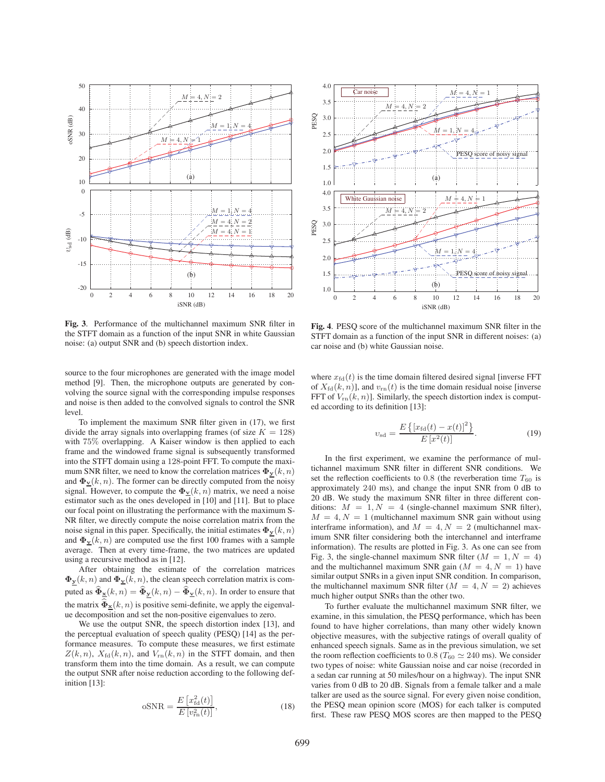

Fig. 3. Performance of the multichannel maximum SNR filter in the STFT domain as a function of the input SNR in white Gaussian noise: (a) output SNR and (b) speech distortion index.

source to the four microphones are generated with the image model method [9]. Then, the microphone outputs are generated by convolving the source signal with the corresponding impulse responses and noise is then added to the convolved signals to control the SNR level.

To implement the maximum SNR filter given in (17), we first divide the array signals into overlapping frames (of size  $K = 128$ ) with 75% overlapping. A Kaiser window is then applied to each frame and the windowed frame signal is subsequently transformed into the STFT domain using a 128-point FFT. To compute the maximum SNR filter, we need to know the correlation matrices  $\Phi_y(k, n)$ and  $\Phi$ **v**(k, n). The former can be directly computed from the noisy signal. However, to compute the  $\Phi_{\mathbf{v}}(k, n)$  matrix, we need a noise estimator such as the ones developed in [10] and [11]. But to place our focal point on illustrating the performance with the maximum S-NR filter, we directly compute the noise correlation matrix from the noise signal in this paper. Specifically, the initial estimates  $\Phi_y(k, n)$ and  $\Phi_{\mathbf{v}}(k, n)$  are computed use the first 100 frames with a sample average. Then at every time-frame, the two matrices are updated using a recursive method as in [12].

After obtaining the estimate of the correlation matrices  $\Phi_{\mathbf{y}}(k, n)$  and  $\Phi_{\mathbf{y}}(k, n)$ , the clean speech correlation matrix is computed as  $\widehat{\Phi}_{\mathbf{x}}(k,n) = \widehat{\Phi}_{\mathbf{y}}(k,n) - \widehat{\Phi}_{\mathbf{y}}(k,n)$ . In order to ensure that the matrix  $\widehat{\Phi}_{\mathbf{x}}(k, n)$  is positive semi-definite, we apply the eigenvalue decomposition and set the non-positive eigenvalues to zero.

We use the output SNR, the speech distortion index [13], and the perceptual evaluation of speech quality (PESQ) [14] as the performance measures. To compute these measures, we first estimate  $Z(k, n)$ ,  $X_{\text{fd}}(k, n)$ , and  $V_{\text{rn}}(k, n)$  in the STFT domain, and then transform them into the time domain. As a result, we can compute the output SNR after noise reduction according to the following definition [13]:

$$
oSNR = \frac{E\left[x_{\text{fd}}^2(t)\right]}{E\left[v_{\text{rn}}^2(t)\right]},
$$
\n(18)



Fig. 4. PESQ score of the multichannel maximum SNR filter in the STFT domain as a function of the input SNR in different noises: (a) car noise and (b) white Gaussian noise.

where  $x_{\text{fd}}(t)$  is the time domain filtered desired signal [inverse FFT of  $X_{\text{fd}}(k, n)$ ], and  $v_{\text{rn}}(t)$  is the time domain residual noise [inverse FFT of  $V_{\rm rn}(k, n)$ ]. Similarly, the speech distortion index is computed according to its definition [13]:

$$
v_{\rm sd} = \frac{E\left\{ [x_{\rm fd}(t) - x(t)]^2 \right\}}{E\left[ x^2(t) \right]}.
$$
 (19)

In the first experiment, we examine the performance of multichannel maximum SNR filter in different SNR conditions. We set the reflection coefficients to  $0.8$  (the reverberation time  $T_{60}$  is approximately 240 ms), and change the input SNR from 0 dB to 20 dB. We study the maximum SNR filter in three different conditions:  $M = 1, N = 4$  (single-channel maximum SNR filter),  $M = 4, N = 1$  (multichannel maximum SNR gain without using interframe information), and  $M = 4, N = 2$  (multichannel maximum SNR filter considering both the interchannel and interframe information). The results are plotted in Fig. 3. As one can see from Fig. 3, the single-channel maximum SNR filter  $(M = 1, N = 4)$ and the multichannel maximum SNR gain ( $M = 4, N = 1$ ) have similar output SNRs in a given input SNR condition. In comparison, the multichannel maximum SNR filter ( $M = 4, N = 2$ ) achieves much higher output SNRs than the other two.

To further evaluate the multichannel maximum SNR filter, we examine, in this simulation, the PESQ performance, which has been found to have higher correlations, than many other widely known objective measures, with the subjective ratings of overall quality of enhanced speech signals. Same as in the previous simulation, we set the room reflection coefficients to 0.8 ( $T_{60} \simeq 240$  ms). We consider two types of noise: white Gaussian noise and car noise (recorded in a sedan car running at 50 miles/hour on a highway). The input SNR varies from 0 dB to 20 dB. Signals from a female talker and a male talker are used as the source signal. For every given noise condition, the PESQ mean opinion score (MOS) for each talker is computed first. These raw PESQ MOS scores are then mapped to the PESQ